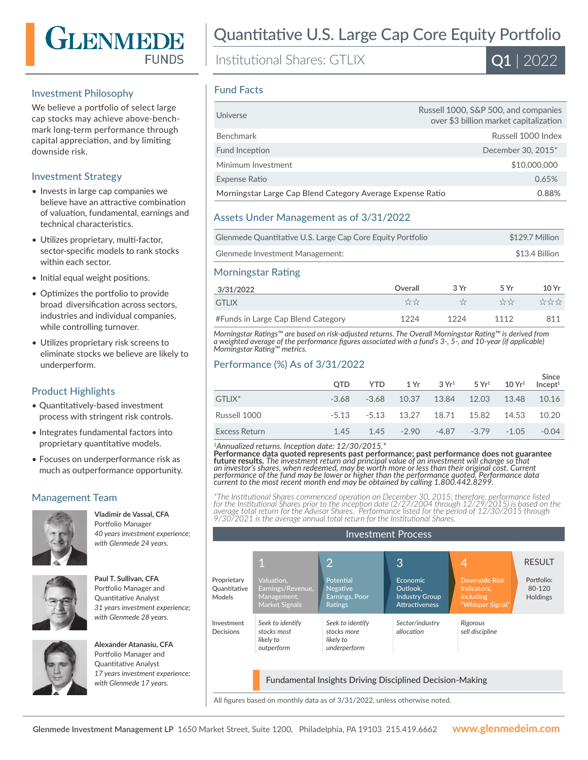

#### Investment Philosophy

We believe a portfolio of select large cap stocks may achieve above-benchmark long-term performance through capital appreciation, and by limiting downside risk.

### Investment Strategy

- Invests in large cap companies we believe have an attractive combination of valuation, fundamental, earnings and technical characteristics.
- Utilizes proprietary, multi-factor, sector-specific models to rank stocks within each sector.
- Initial equal weight positions.
- Optimizes the portfolio to provide broad diversification across sectors, industries and individual companies, while controlling turnover.
- Utilizes proprietary risk screens to eliminate stocks we believe are likely to underperform.

## Product Highlights

- Quantitatively-based investment process with stringent risk controls.
- Integrates fundamental factors into proprietary quantitative models.
- Focuses on underperformance risk as much as outperformance opportunity.

## Management Team



**Vladimir de Vassal, CFA**  Portfolio Manager *40 years investment experience; with Glenmede 24 years.*



**Paul T. Sullivan, CFA**  Portfolio Manager and Quantitative Analyst *31 years investment experience; with Glenmede 28 years.*



**Alexander Atanasiu, CFA**  Portfolio Manager and Quantitative Analyst *17 years investment experience; with Glenmede 17 years.*

# Quantitative U.S. Large Cap Core Equity Portfolio

Institutional Shares: GTLIX



#### Fund Facts

| Universe                                                   | Russell 1000, S&P 500, and companies<br>over \$3 billion market capitalization |
|------------------------------------------------------------|--------------------------------------------------------------------------------|
| Benchmark                                                  | Russell 1000 Index                                                             |
| Fund Inception                                             | December 30, 2015*                                                             |
| Minimum Investment                                         | \$10,000,000                                                                   |
| Expense Ratio                                              | 0.65%                                                                          |
| Morningstar Large Cap Blend Category Average Expense Ratio | 0.88%                                                                          |

#### Assets Under Management as of 3/31/2022

| Glenmede Quantitative U.S. Large Cap Core Equity Portfolio | \$129.7 Million |
|------------------------------------------------------------|-----------------|
| Glenmede Investment Management:                            | \$13.4 Billion  |

#### Morningstar Rating

| 3/31/2022                          | Overall | 3Vr  | 5 Vr | 10 Yr |
|------------------------------------|---------|------|------|-------|
| GTI IX                             | ☆☆      |      | ***  | ****  |
| #Funds in Large Cap Blend Category | 1224    | 1224 | 1112 | 811   |

*Morningstar Ratings™ are based on risk-adjusted returns. The Overall Morningstar Rating™ is derived from a weighted average of the performance figures associated with a fund's 3-, 5-, and 10-year (if applicable) Morningstar Rating™ metrics.*

#### Performance (%) As of 3/31/2022

|                    | <b>OTD</b> | YTD |                                     | $1 \text{Yr}$ $3 \text{Yr}^1$ $5 \text{Yr}^1$ $10 \text{Yr}^1$ | Since<br>Incept <sup>1</sup> |
|--------------------|------------|-----|-------------------------------------|----------------------------------------------------------------|------------------------------|
| GTLIX <sup>*</sup> | -3.68      |     | $-3.68$ 10.37 13.84 12.03 13.48     |                                                                | 10.16                        |
| Russell 1000       |            |     | -5.13 -5.13 13.27 18.71 15.82 14.53 |                                                                | 10.20                        |
| Excess Return      | 145        |     | $1.45 - 2.90$                       | $-4.87 -3.79 -1.05$                                            | $-0.04$                      |

*<sup>1</sup>Annualized returns. Inception date: 12/30/2015.\**

Performance data quoted represents past performance; past performance does not guarantee<br>future results. The investment return and principal value of an investment will change so that<br>an investor's shares, when redeemed, m *performance of the fund may be lower or higher than the performance quoted. Performance data current to the most recent month end may be obtained by calling 1.800.442.8299.*

\*The Institutional Shares commenced operation on December 30, 2015; therefore, performance listed<br>for the Institutional Shares prior to the inception date (2/27/2004 through 12/29/2015) is based on the<br>average total return *9/30/2021 is the average annual total return for the Institutional Shares.*



All figures based on monthly data as of 3/31/2022, unless otherwise noted.